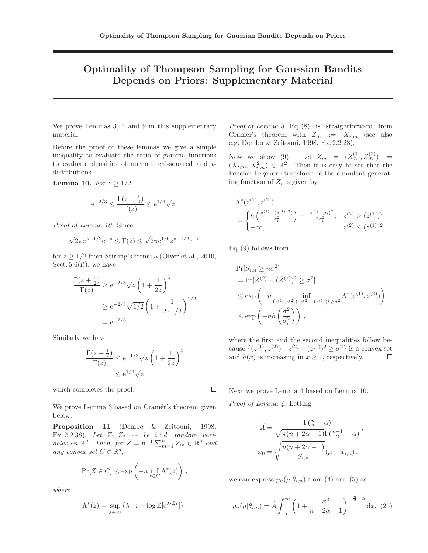## Optimality of Thompson Sampling for Gaussian Bandits Depends on Priors: Supplementary Material

We prove Lemmas 3, 4 and 9 in this supplementary material.

Before the proof of these lemmas we give a simple inequality to evaluate the ratio of gamma functions to evaluate densities of normal, chi-squared and tdistributions.

Lemma 10. For  $z \geq 1/2$ 

$$
e^{-2/3} \le \frac{\Gamma(z + \frac{1}{2})}{\Gamma(z)} \le e^{1/6} \sqrt{z}.
$$

Proof of Lemma 10. Since

$$
\sqrt{2\pi}z^{z-1/2}e^{-z} \le \Gamma(z) \le \sqrt{2\pi}e^{1/6}z^{z-1/2}e^{-z}
$$

for  $z \geq 1/2$  from Stirling's formula (Olver et al., 2010, Sect.  $5.6(i)$ , we have

$$
\frac{\Gamma(z + \frac{1}{2})}{\Gamma(z)} \ge e^{-2/3} \sqrt{z} \left( 1 + \frac{1}{2z} \right)^z
$$
  
 
$$
\ge e^{-2/3} \sqrt{1/2} \left( 1 + \frac{1}{2 \cdot 1/2} \right)^{1/2}
$$
  
=  $e^{-2/3}$ .

Similarly we have

$$
\frac{\Gamma(z+\frac{1}{2})}{\Gamma(z)} \le e^{-1/3}\sqrt{z}\left(1+\frac{1}{2z}\right)^z
$$

$$
\le e^{1/6}\sqrt{z},
$$

which completes the proof.

We prove Lemma 3 based on Cramér's theorem given below.

Proposition 11 (Dembo & Zeitouni, 1998, Ex. 2.2.38). Let  $Z_1, Z_2, \cdots$  be i.i.d. random variables on  $\mathbb{R}^d$ . Then, for  $\bar{Z} = n^{-1} \sum_{m=1}^n Z_m \in \mathbb{R}^d$  and any convex set  $C \in \mathbb{R}^d$ ,

$$
\Pr[\bar{Z} \in C] \le \exp\left(-n \inf_{z \in C} \Lambda^*(z)\right),\,
$$

where

$$
\Lambda^*(z) = \sup_{\lambda \in \mathbb{R}^d} \{ \lambda \cdot z - \log \mathbb{E}[\mathrm{e}^{\lambda \cdot Z_1}] \}.
$$

Proof of Lemma 3. Eq.  $(8)$  is straightforward from Cramér's theorem with  $Z_m := X_{i,m}$  (see also e.g. Dembo & Zeitouni, 1998, Ex. 2.2.23).

Now we show (9). Let  $Z_m = (Z_m^{(1)}, Z_m^{(2)})$  :=  $(X_{i,m}, X_{i,m}^2) \in \mathbb{R}^2$ . Then it is easy to see that the Fenchel-Legendre transform of the cumulant generating function of  $Z_i$  is given by

$$
\Lambda^*(z^{(1)}, z^{(2)}) = \begin{cases} h\left(\frac{z^{(2)} - (z^{(1)})^2}{\sigma_i^2}\right) + \frac{(z^{(1)} - \mu_i)^2}{2\sigma_i^2}, & z^{(2)} > (z^{(1)})^2, \\ +\infty, & z^{(2)} \le (z^{(1)})^2. \end{cases}
$$

Eq. (9) follows from

$$
\Pr[S_{i,n} \ge n\sigma^2] \n= \Pr[\bar{Z}^{(2)} - (\bar{Z}^{(1)})^2 \ge \sigma^2] \n\le \exp\left(-n \inf_{(z^{(1)}, z^{(2)}): z^{(2)} - (z^{(1)})^2 \ge \sigma^2} \Lambda^*(z^{(1)}, z^{(2)})\right) \n\le \exp\left(-n \frac{\sigma^2}{\sigma_i^2}\right),
$$

where the first and the second inequalities follow because  $\{(z^{(1)}, z^{(2)}) : z^{(2)} - (z^{(1)})^2 \ge \sigma^2\}$  is a convex set and  $h(x)$  is increasing in  $x \geq 1$ , respectively.

Next we prove Lemma 4 based on Lemma 10.

Proof of Lemma 4. Letting

 $\Box$ 

$$
\tilde{A} = \frac{\Gamma(\frac{n}{2} + \alpha)}{\sqrt{\pi(n + 2\alpha - 1)}\Gamma(\frac{n-1}{2} + \alpha)},
$$

$$
x_0 = \sqrt{\frac{n(n + 2\alpha - 1)}{S_{i,n}}}(\mu - \bar{x}_{i,n}),
$$

we can express  $p_n(\mu|\hat{\theta}_{i,n})$  from (4) and (5) as

$$
p_n(\mu|\hat{\theta}_{i,n}) = \tilde{A} \int_{x_0}^{\infty} \left(1 + \frac{x^2}{n + 2\alpha - 1}\right)^{-\frac{n}{2} - \alpha} dx. (25)
$$